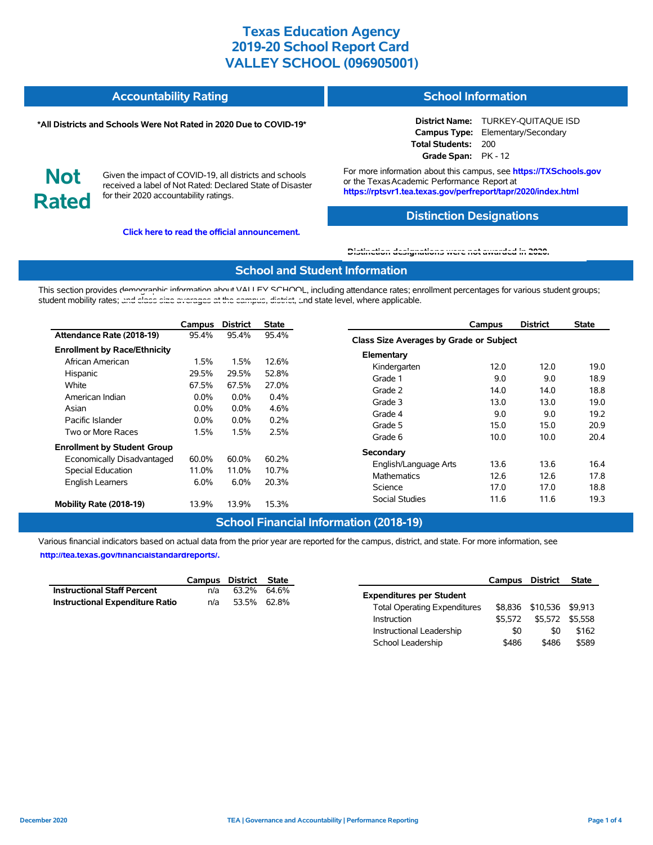| <b>Accountability Rating</b> | <b>School Information</b> |
|------------------------------|---------------------------|
|                              |                           |

#### **\*All Districts and Schools Were Not Rated in 2020 Due to COVID-19\***

**District Name:** TURKEY-QUITAQUE ISD **Campus Type:** Elementary/Secondary **Total Students:** 200 **Grade Span:** PK - 12

**Not Rated**

Given the impact of COVID-19, all districts and schools received a label of Not Rated: Declared State of Disaster for their 2020 accountability ratings.

**Click here to read the official announcement.**

For more information about this campus, see **https://TXSchools.gov** or the Texas Academic Performance Report at **https://rptsvr1.tea.texas.gov/perfreport/tapr/2020/index.html**

## **Distinction Designations**

#### **[Distinction designations were not awarded in 2020.](https://rptsvr1.tea.texas.gov/perfreport/tapr/2020/index.html)**

#### **School and Student Information**

This section provides demographic information about VALLEY SCHOOL, including attendance rates; enrollment percentages for various student groups; student mobility rates; [and class size averages at the campus, district, a](https://tea.texas.gov/about-tea/news-and-multimedia/correspondence/taa-letters/every-student-succeeds-act-essa-waiver-approval-2020-state-academic-accountability)nd state level, where applicable.

|                                     | Campus  | <b>District</b> | <b>State</b> | <b>District</b><br>Campus               | <b>State</b> |
|-------------------------------------|---------|-----------------|--------------|-----------------------------------------|--------------|
| Attendance Rate (2018-19)           | 95.4%   | 95.4%           | 95.4%        | Class Size Averages by Grade or Subject |              |
| <b>Enrollment by Race/Ethnicity</b> |         |                 |              | Elementary                              |              |
| African American                    | 1.5%    | 1.5%            | 12.6%        | 12.0<br>Kindergarten<br>12.0            | 19.0         |
| Hispanic                            | 29.5%   | 29.5%           | 52.8%        | 9.0<br>9.0<br>Grade 1                   | 18.9         |
| White                               | 67.5%   | 67.5%           | 27.0%        | Grade 2<br>14.0<br>14.0                 | 18.8         |
| American Indian                     | $0.0\%$ | $0.0\%$         | 0.4%         | Grade 3<br>13.0<br>13.0                 | 19.0         |
| Asian                               | $0.0\%$ | $0.0\%$         | 4.6%         | 9.0<br>9.0<br>Grade 4                   | 19.2         |
| Pacific Islander                    | $0.0\%$ | $0.0\%$         | 0.2%         | 15.0<br>15.0<br>Grade 5                 | 20.9         |
| Two or More Races                   | 1.5%    | 1.5%            | 2.5%         | 10.0<br>10.0<br>Grade 6                 | 20.4         |
| <b>Enrollment by Student Group</b>  |         |                 |              | Secondary                               |              |
| Economically Disadvantaged          | 60.0%   | 60.0%           | 60.2%        | 13.6<br>13.6<br>English/Language Arts   | 16.4         |
| Special Education                   | 11.0%   | 11.0%           | 10.7%        | 12.6<br>12.6<br><b>Mathematics</b>      | 17.8         |
| <b>English Learners</b>             | 6.0%    | 6.0%            | 20.3%        | Science<br>17.0<br>17.0                 | 18.8         |
| Mobility Rate (2018-19)             | 13.9%   | 13.9%           | 15.3%        | <b>Social Studies</b><br>11.6<br>11.6   | 19.3         |

## **School Financial Information (2018-19)**

Various financial indicators based on actual data from the prior year are reported for the campus, district, and state. For more information, see **[http://tea.texas.gov/financialstandardreports/.](http://tea.texas.gov/financialstandardreports/)**

|                                        | Campus District State |             |  |
|----------------------------------------|-----------------------|-------------|--|
| <b>Instructional Staff Percent</b>     | n/a                   | 63.2% 64.6% |  |
| <b>Instructional Expenditure Ratio</b> | n/a                   | 53.5% 62.8% |  |

|                                     | Campus District |          | <b>State</b> |
|-------------------------------------|-----------------|----------|--------------|
| <b>Expenditures per Student</b>     |                 |          |              |
| <b>Total Operating Expenditures</b> | \$8,836         | \$10.536 | \$9.913      |
| Instruction                         | \$5.572         | \$5.572  | \$5.558      |
| Instructional Leadership            | \$0             | \$0      | \$162        |
| School Leadership                   | \$486           | \$486    | \$589        |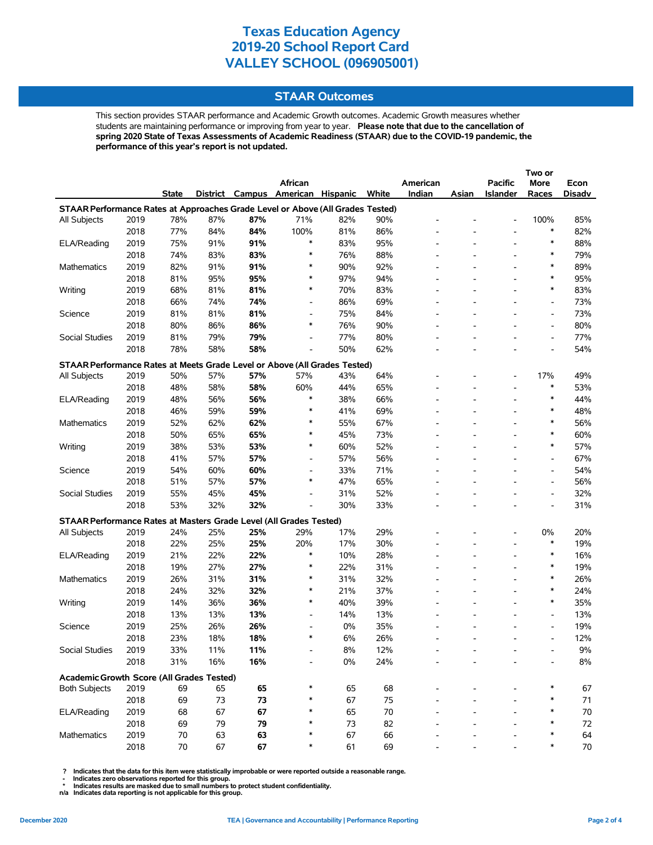# **STAAR Outcomes**

This section provides STAAR performance and Academic Growth outcomes. Academic Growth measures whether students are maintaining performance or improving from year to year. **Please note that due to the cancellation of spring 2020 State of Texas Assessments of Academic Readiness (STAAR) due to the COVID-19 pandemic, the performance of this year's report is not updated.**

|                                                                                |      |              |          |     |                          |                 |       |                          |                          |                          | Two or                   |        |
|--------------------------------------------------------------------------------|------|--------------|----------|-----|--------------------------|-----------------|-------|--------------------------|--------------------------|--------------------------|--------------------------|--------|
|                                                                                |      |              |          |     | African                  |                 |       | American                 |                          | <b>Pacific</b>           | More                     | Econ   |
|                                                                                |      | <b>State</b> | District |     | Campus American          | <b>Hispanic</b> | White | Indian                   | Asian                    | <b>Islander</b>          | Races                    | Disadv |
| STAAR Performance Rates at Approaches Grade Level or Above (All Grades Tested) |      |              |          |     |                          |                 |       |                          |                          |                          |                          |        |
| All Subjects                                                                   | 2019 | 78%          | 87%      | 87% | 71%                      | 82%             | 90%   |                          |                          | $\overline{a}$           | 100%                     | 85%    |
|                                                                                | 2018 | 77%          | 84%      | 84% | 100%                     | 81%             | 86%   |                          |                          | $\overline{\phantom{a}}$ | $\ast$                   | 82%    |
| ELA/Reading                                                                    | 2019 | 75%          | 91%      | 91% | $\ast$                   | 83%             | 95%   |                          |                          | $\overline{\phantom{a}}$ | $\ast$                   | 88%    |
|                                                                                | 2018 | 74%          | 83%      | 83% | $\ast$                   | 76%             | 88%   |                          | $\overline{\phantom{0}}$ | $\overline{\phantom{a}}$ | $\ast$                   | 79%    |
| Mathematics                                                                    | 2019 | 82%          | 91%      | 91% | $\ast$                   | 90%             | 92%   |                          |                          |                          | $\ast$                   | 89%    |
|                                                                                | 2018 | 81%          | 95%      | 95% | $\ast$                   | 97%             | 94%   |                          |                          | $\overline{\phantom{a}}$ | $\ast$                   | 95%    |
| Writing                                                                        | 2019 | 68%          | 81%      | 81% | $\ast$                   | 70%             | 83%   |                          |                          |                          | $\ast$                   | 83%    |
|                                                                                | 2018 | 66%          | 74%      | 74% | $\overline{\phantom{0}}$ | 86%             | 69%   |                          |                          |                          | $\overline{\phantom{a}}$ | 73%    |
| Science                                                                        | 2019 | 81%          | 81%      | 81% | $\overline{\phantom{a}}$ | 75%             | 84%   |                          |                          |                          | $\overline{\phantom{a}}$ | 73%    |
|                                                                                | 2018 | 80%          | 86%      | 86% | $\ast$                   | 76%             | 90%   |                          | $\overline{a}$           |                          | $\overline{\phantom{a}}$ | 80%    |
| Social Studies                                                                 | 2019 | 81%          | 79%      | 79% | $\overline{\phantom{0}}$ | 77%             | 80%   |                          |                          |                          | $\overline{\phantom{a}}$ | 77%    |
|                                                                                | 2018 | 78%          | 58%      | 58% | $\overline{\phantom{a}}$ | 50%             | 62%   |                          | $\overline{\phantom{a}}$ |                          | $\overline{\phantom{a}}$ | 54%    |
| STAAR Performance Rates at Meets Grade Level or Above (All Grades Tested)      |      |              |          |     |                          |                 |       |                          |                          |                          |                          |        |
| All Subjects                                                                   | 2019 | 50%          | 57%      | 57% | 57%                      | 43%             | 64%   |                          |                          |                          | 17%                      | 49%    |
|                                                                                | 2018 | 48%          | 58%      | 58% | 60%                      | 44%             | 65%   | $\overline{\phantom{0}}$ |                          | $\overline{\phantom{a}}$ | $\ast$                   | 53%    |
| ELA/Reading                                                                    | 2019 | 48%          | 56%      | 56% | $\ast$                   | 38%             | 66%   |                          |                          | $\overline{\phantom{a}}$ | $\ast$                   | 44%    |
|                                                                                | 2018 | 46%          | 59%      | 59% | ∗                        | 41%             | 69%   |                          |                          |                          | $\ast$                   | 48%    |
| Mathematics                                                                    | 2019 | 52%          | 62%      | 62% | $\ast$                   | 55%             | 67%   |                          |                          | $\overline{\phantom{a}}$ | $\ast$                   | 56%    |
|                                                                                | 2018 | 50%          | 65%      | 65% | $\ast$                   | 45%             | 73%   |                          | $\overline{a}$           |                          | $\ast$                   | 60%    |
| Writing                                                                        | 2019 | 38%          | 53%      | 53% | $\ast$                   | 60%             | 52%   |                          |                          | L,                       | $\ast$                   | 57%    |
|                                                                                | 2018 | 41%          | 57%      | 57% | $\overline{\phantom{a}}$ | 57%             | 56%   | $\overline{\phantom{0}}$ | $\overline{\phantom{a}}$ | $\overline{\phantom{a}}$ | $\overline{\phantom{a}}$ | 67%    |
| Science                                                                        | 2019 | 54%          | 60%      | 60% | $\overline{\phantom{a}}$ | 33%             | 71%   |                          |                          |                          | $\overline{\phantom{a}}$ | 54%    |
|                                                                                | 2018 | 51%          | 57%      | 57% | $\ast$                   | 47%             | 65%   |                          |                          |                          | Ĭ.                       | 56%    |
| Social Studies                                                                 | 2019 | 55%          | 45%      | 45% | $\overline{\phantom{0}}$ | 31%             | 52%   |                          | L.                       |                          | $\overline{\phantom{a}}$ | 32%    |
|                                                                                | 2018 | 53%          | 32%      | 32% |                          | 30%             | 33%   |                          |                          |                          | L,                       | 31%    |
| STAAR Performance Rates at Masters Grade Level (All Grades Tested)             |      |              |          |     |                          |                 |       |                          |                          |                          |                          |        |
| All Subjects                                                                   | 2019 | 24%          | 25%      | 25% | 29%                      | 17%             | 29%   |                          |                          | $\overline{\phantom{a}}$ | 0%                       | 20%    |
|                                                                                | 2018 | 22%          | 25%      | 25% | 20%                      | 17%             | 30%   |                          |                          | $\overline{\phantom{a}}$ | $\ast$                   | 19%    |
| ELA/Reading                                                                    | 2019 | 21%          | 22%      | 22% | $\ast$                   | 10%             | 28%   |                          |                          | $\overline{a}$           | $\ast$                   | 16%    |
|                                                                                | 2018 | 19%          | 27%      | 27% | $\ast$                   | 22%             | 31%   |                          | L.                       | $\overline{\phantom{a}}$ | $\ast$                   | 19%    |
| Mathematics                                                                    | 2019 | 26%          | 31%      | 31% | $\ast$                   | 31%             | 32%   |                          |                          | $\overline{\phantom{a}}$ | $\ast$                   | 26%    |
|                                                                                | 2018 | 24%          | 32%      | 32% | $\ast$                   | 21%             | 37%   |                          |                          | $\overline{\phantom{a}}$ | $\ast$                   | 24%    |
| Writing                                                                        | 2019 | 14%          | 36%      | 36% | $\ast$                   | 40%             | 39%   |                          | L.                       |                          | $\ast$                   | 35%    |
|                                                                                | 2018 | 13%          | 13%      | 13% | $\overline{\phantom{a}}$ | 14%             | 13%   |                          |                          |                          | $\overline{\phantom{a}}$ | 13%    |
| Science                                                                        | 2019 | 25%          | 26%      | 26% | $\overline{\phantom{0}}$ | 0%              | 35%   |                          |                          |                          | $\overline{\phantom{a}}$ | 19%    |
|                                                                                | 2018 | 23%          | 18%      | 18% | $\ast$                   | 6%              | 26%   |                          |                          |                          | $\overline{\phantom{a}}$ | 12%    |
| Social Studies                                                                 | 2019 | 33%          | 11%      | 11% |                          | 8%              | 12%   |                          |                          |                          |                          | $9\%$  |
|                                                                                | 2018 | 31%          | 16%      | 16% |                          | $0\%$           | 24%   |                          |                          |                          |                          | 8%     |
|                                                                                |      |              |          |     |                          |                 |       |                          |                          |                          |                          |        |
| Academic Growth Score (All Grades Tested)                                      |      |              |          |     |                          |                 |       |                          |                          |                          |                          |        |
| <b>Both Subjects</b>                                                           | 2019 | 69           | 65       | 65  |                          | 65              | 68    |                          |                          |                          |                          | 67     |
|                                                                                | 2018 | 69           | 73       | 73  |                          | 67              | 75    |                          |                          |                          | ∗                        | 71     |
| ELA/Reading                                                                    | 2019 | 68           | 67       | 67  |                          | 65              | 70    |                          |                          |                          | $\ast$                   | 70     |
|                                                                                | 2018 | 69           | 79       | 79  |                          | 73              | 82    |                          |                          |                          | ∗                        | 72     |
| Mathematics                                                                    | 2019 | 70           | 63       | 63  | ∗                        | 67              | 66    |                          |                          |                          | $\ast$                   | 64     |
|                                                                                | 2018 | 70           | 67       | 67  |                          | 61              | 69    |                          |                          |                          |                          | $70\,$ |

 **? Indicates that the data for this item were statistically improbable or were reported outside a reasonable range.**

 **- Indicates zero observations reported for this group. \* Indicates results are masked due to small numbers to protect student confidentiality.**

**n/a Indicates data reporting is not applicable for this group.**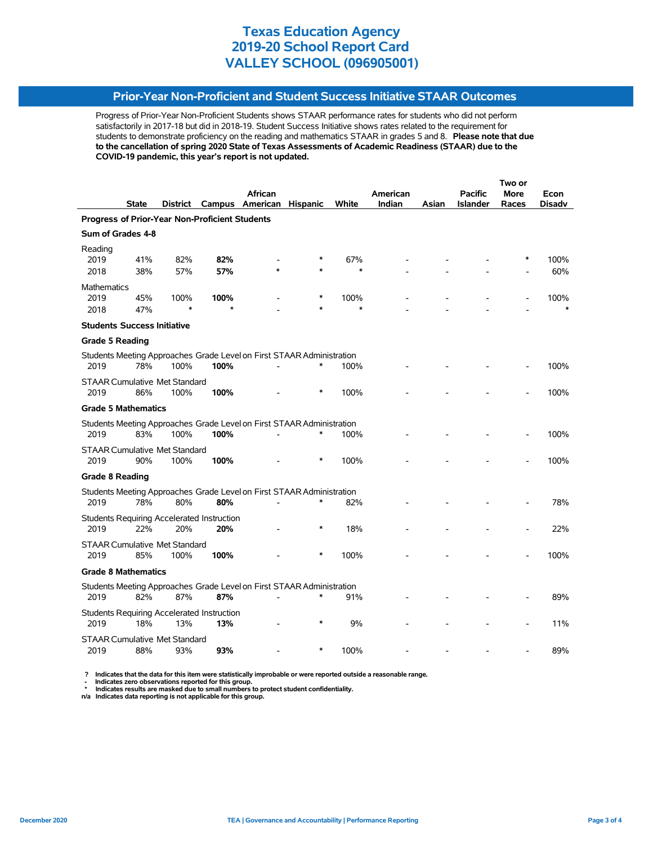# **Prior-Year Non-Proficient and Student Success Initiative STAAR Outcomes**

Progress of Prior-Year Non-Proficient Students shows STAAR performance rates for students who did not perform satisfactorily in 2017-18 but did in 2018-19. Student Success Initiative shows rates related to the requirement for students to demonstrate proficiency on the reading and mathematics STAAR in grades 5 and 8. **Please note that due to the cancellation of spring 2020 State of Texas Assessments of Academic Readiness (STAAR) due to the COVID-19 pandemic, this year's report is not updated.**

|                                                |              |                                              |                                                          |                                                                       |                 |               |          |       | Two or          |             |             |  |
|------------------------------------------------|--------------|----------------------------------------------|----------------------------------------------------------|-----------------------------------------------------------------------|-----------------|---------------|----------|-------|-----------------|-------------|-------------|--|
|                                                |              |                                              |                                                          | <b>African</b>                                                        |                 |               | American |       | <b>Pacific</b>  | <b>More</b> | Econ        |  |
|                                                | <b>State</b> | District                                     | Campus                                                   | American                                                              | <b>Hispanic</b> | White         | Indian   | Asian | <b>Islander</b> | Races       | Disadv      |  |
| Progress of Prior-Year Non-Proficient Students |              |                                              |                                                          |                                                                       |                 |               |          |       |                 |             |             |  |
| Sum of Grades 4-8                              |              |                                              |                                                          |                                                                       |                 |               |          |       |                 |             |             |  |
| Reading                                        |              |                                              | 82%                                                      |                                                                       |                 |               |          |       |                 |             |             |  |
| 2019<br>2018                                   | 41%<br>38%   | 82%<br>57%                                   | 57%                                                      |                                                                       |                 | 67%<br>$\ast$ |          |       |                 |             | 100%<br>60% |  |
| <b>Mathematics</b>                             |              |                                              |                                                          |                                                                       |                 |               |          |       |                 |             |             |  |
| 2019                                           | 45%          | 100%                                         | 100%                                                     |                                                                       |                 | 100%          |          |       |                 |             | 100%        |  |
| 2018                                           | 47%          | $\ast$                                       | $\star$                                                  |                                                                       |                 | $\ast$        |          |       |                 |             |             |  |
| <b>Students Success Initiative</b>             |              |                                              |                                                          |                                                                       |                 |               |          |       |                 |             |             |  |
| <b>Grade 5 Reading</b>                         |              |                                              |                                                          |                                                                       |                 |               |          |       |                 |             |             |  |
|                                                |              |                                              |                                                          | Students Meeting Approaches Grade Level on First STAAR Administration |                 |               |          |       |                 |             |             |  |
| 2019                                           | 78%          | 100%                                         | 100%                                                     |                                                                       |                 | 100%          |          |       |                 |             | 100%        |  |
|                                                |              | <b>STAAR Cumulative Met Standard</b>         |                                                          |                                                                       |                 |               |          |       |                 |             |             |  |
| 2019                                           | 86%          | 100%                                         | 100%                                                     |                                                                       | *               | 100%          |          |       |                 |             | 100%        |  |
| <b>Grade 5 Mathematics</b>                     |              |                                              |                                                          |                                                                       |                 |               |          |       |                 |             |             |  |
|                                                |              |                                              |                                                          | Students Meeting Approaches Grade Level on First STAAR Administration |                 |               |          |       |                 |             |             |  |
| 2019                                           | 83%          | 100%                                         | 100%                                                     |                                                                       |                 | 100%          |          |       |                 |             | 100%        |  |
|                                                |              | <b>STAAR Cumulative Met Standard</b>         |                                                          |                                                                       |                 |               |          |       |                 |             |             |  |
| 2019                                           | 90%          | 100%                                         | 100%                                                     |                                                                       |                 | 100%          |          |       |                 |             | 100%        |  |
| <b>Grade 8 Reading</b>                         |              |                                              |                                                          |                                                                       |                 |               |          |       |                 |             |             |  |
|                                                | 78%          |                                              |                                                          | Students Meeting Approaches Grade Level on First STAAR Administration | $\ast$          |               |          |       |                 |             |             |  |
| 2019                                           |              | 80%                                          | 80%                                                      |                                                                       |                 | 82%           |          |       |                 |             | 78%         |  |
| 2019                                           | 22%          | 20%                                          | <b>Students Requiring Accelerated Instruction</b><br>20% |                                                                       | *               | 18%           |          |       |                 |             | 22%         |  |
|                                                |              |                                              |                                                          |                                                                       |                 |               |          |       |                 |             |             |  |
| 2019                                           | 85%          | <b>STAAR Cumulative Met Standard</b><br>100% | 100%                                                     |                                                                       | $\ast$          | 100%          |          |       |                 |             | 100%        |  |
| <b>Grade 8 Mathematics</b>                     |              |                                              |                                                          |                                                                       |                 |               |          |       |                 |             |             |  |
|                                                |              |                                              |                                                          | Students Meeting Approaches Grade Level on First STAAR Administration |                 |               |          |       |                 |             |             |  |
| 2019                                           | 82%          | 87%                                          | 87%                                                      |                                                                       | *               | 91%           |          |       |                 |             | 89%         |  |
|                                                |              |                                              | <b>Students Requiring Accelerated Instruction</b>        |                                                                       |                 |               |          |       |                 |             |             |  |
| 2019                                           | 18%          | 13%                                          | 13%                                                      |                                                                       |                 | 9%            |          |       |                 |             | 11%         |  |
|                                                |              | <b>STAAR Cumulative Met Standard</b>         |                                                          |                                                                       |                 |               |          |       |                 |             |             |  |
| 2019                                           | 88%          | 93%                                          | 93%                                                      |                                                                       | *               | 100%          |          |       |                 |             | 89%         |  |

 **? Indicates that the data for this item were statistically improbable or were reported outside a reasonable range.**

 **- Indicates zero observations reported for this group.**

 **\* Indicates results are masked due to small numbers to protect student confidentiality. n/a Indicates data reporting is not applicable for this group.**